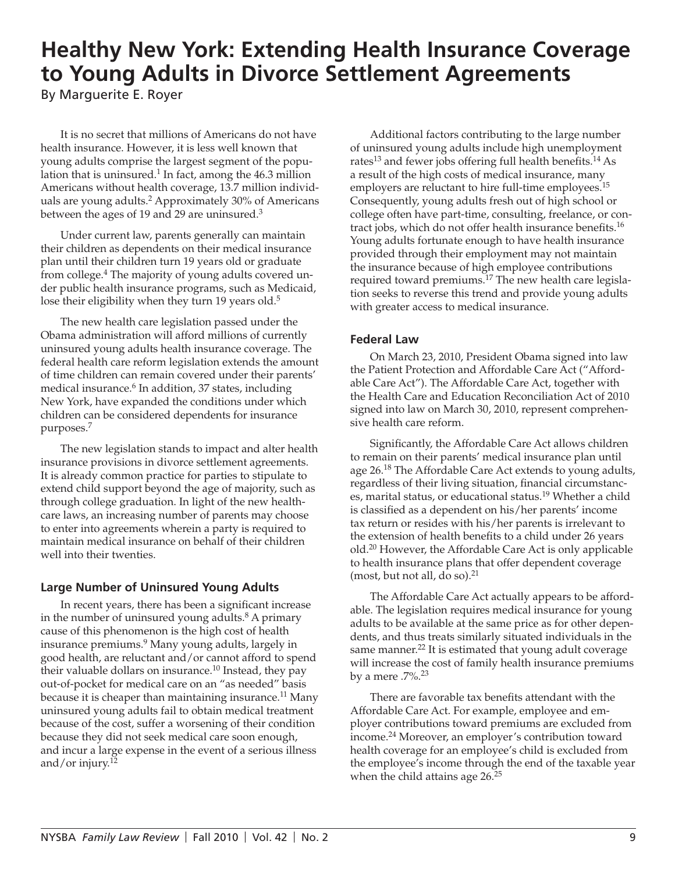# **Healthy New York: Extending Health Insurance Coverage to Young Adults in Divorce Settlement Agreements**

By Marguerite E. Royer

It is no secret that millions of Americans do not have health insurance. However, it is less well known that young adults comprise the largest segment of the population that is uninsured. $1$  In fact, among the 46.3 million Americans without health coverage, 13.7 million individuals are young adults.<sup>2</sup> Approximately 30% of Americans between the ages of 19 and 29 are uninsured.<sup>3</sup>

Under current law, parents generally can maintain their children as dependents on their medical insurance plan until their children turn 19 years old or graduate from college.<sup>4</sup> The majority of young adults covered under public health insurance programs, such as Medicaid, lose their eligibility when they turn 19 years old.<sup>5</sup>

The new health care legislation passed under the Obama administration will afford millions of currently uninsured young adults health insurance coverage. The federal health care reform legislation extends the amount of time children can remain covered under their parents' medical insurance.6 In addition, 37 states, including New York, have expanded the conditions under which children can be considered dependents for insurance purposes.7

The new legislation stands to impact and alter health insurance provisions in divorce settlement agreements. It is already common practice for parties to stipulate to extend child support beyond the age of majority, such as through college graduation. In light of the new healthcare laws, an increasing number of parents may choose to enter into agreements wherein a party is required to maintain medical insurance on behalf of their children well into their twenties.

## **Large Number of Uninsured Young Adults**

In recent years, there has been a significant increase in the number of uninsured young adults. $8$  A primary cause of this phenomenon is the high cost of health insurance premiums.<sup>9</sup> Many young adults, largely in good health, are reluctant and/or cannot afford to spend their valuable dollars on insurance.<sup>10</sup> Instead, they pay out-of-pocket for medical care on an "as needed" basis because it is cheaper than maintaining insurance.<sup>11</sup> Many uninsured young adults fail to obtain medical treatment because of the cost, suffer a worsening of their condition because they did not seek medical care soon enough, and incur a large expense in the event of a serious illness and/or injury.12

Additional factors contributing to the large number of uninsured young adults include high unemployment rates<sup>13</sup> and fewer jobs offering full health benefits.<sup>14</sup> As a result of the high costs of medical insurance, many employers are reluctant to hire full-time employees.<sup>15</sup> Consequently, young adults fresh out of high school or college often have part-time, consulting, freelance, or contract jobs, which do not offer health insurance benefits.<sup>16</sup> Young adults fortunate enough to have health insurance provided through their employment may not maintain the insurance because of high employee contributions required toward premiums.<sup>17</sup> The new health care legislation seeks to reverse this trend and provide young adults with greater access to medical insurance.

### **Federal Law**

On March 23, 2010, President Obama signed into law the Patient Protection and Affordable Care Act ("Affordable Care Act"). The Affordable Care Act, together with the Health Care and Education Reconciliation Act of 2010 signed into law on March 30, 2010, represent comprehensive health care reform.

Significantly, the Affordable Care Act allows children to remain on their parents' medical insurance plan until age 26.<sup>18</sup> The Affordable Care Act extends to young adults, regardless of their living situation, financial circumstances, marital status, or educational status.<sup>19</sup> Whether a child is classified as a dependent on his/her parents' income tax return or resides with his/her parents is irrelevant to the extension of health benefits to a child under 26 years old.<sup>20</sup> However, the Affordable Care Act is only applicable to health insurance plans that offer dependent coverage (most, but not all, do so). $21$ 

The Affordable Care Act actually appears to be affordable. The legislation requires medical insurance for young adults to be available at the same price as for other dependents, and thus treats similarly situated individuals in the same manner.<sup>22</sup> It is estimated that young adult coverage will increase the cost of family health insurance premiums by a mere  $.7\%$ .<sup>23</sup>

There are favorable tax benefits attendant with the Affordable Care Act. For example, employee and employer contributions toward premiums are excluded from income.24 Moreover, an employer's contribution toward health coverage for an employee's child is excluded from the employee's income through the end of the taxable year when the child attains age  $26.^{25}$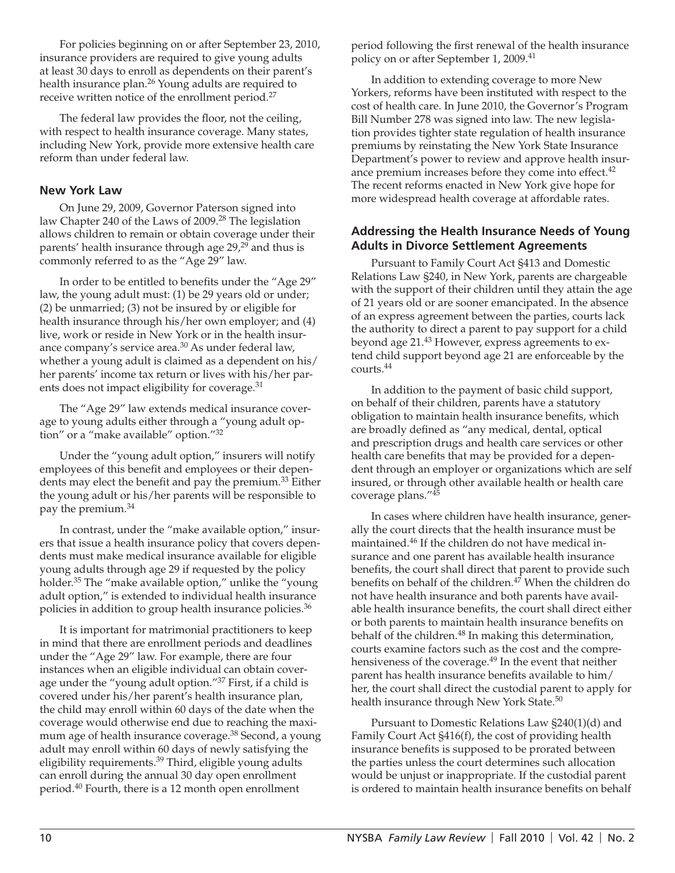For policies beginning on or after September 23, 2010, insurance providers are required to give young adults at least 30 days to enroll as dependents on their parent's health insurance plan.<sup>26</sup> Young adults are required to receive written notice of the enrollment period.27

The federal law provides the floor, not the ceiling, with respect to health insurance coverage. Many states, including New York, provide more extensive health care reform than under federal law.

#### **New York Law**

On June 29, 2009, Governor Paterson signed into law Chapter 240 of the Laws of 2009.<sup>28</sup> The legislation allows children to remain or obtain coverage under their parents' health insurance through age 29,<sup>29</sup> and thus is commonly referred to as the "Age 29" law.

In order to be entitled to benefits under the "Age 29" law, the young adult must: (1) be 29 years old or under; (2) be unmarried; (3) not be insured by or eligible for health insurance through his/her own employer; and (4) live, work or reside in New York or in the health insurance company's service area.<sup>30</sup> As under federal law, whether a young adult is claimed as a dependent on his/ her parents' income tax return or lives with his/her parents does not impact eligibility for coverage.<sup>31</sup>

The "Age 29" law extends medical insurance coverage to young adults either through a "young adult option" or a "make available" option."32

Under the "young adult option," insurers will notify employees of this benefit and employees or their dependents may elect the benefit and pay the premium.<sup>33</sup> Either the young adult or his/her parents will be responsible to pay the premium.34

In contrast, under the "make available option," insurers that issue a health insurance policy that covers dependents must make medical insurance available for eligible young adults through age 29 if requested by the policy holder.<sup>35</sup> The "make available option," unlike the "young adult option," is extended to individual health insurance policies in addition to group health insurance policies.<sup>36</sup>

It is important for matrimonial practitioners to keep in mind that there are enrollment periods and deadlines under the "Age 29" law. For example, there are four instances when an eligible individual can obtain coverage under the "young adult option."37 First, if a child is covered under his/her parent's health insurance plan, the child may enroll within 60 days of the date when the coverage would otherwise end due to reaching the maximum age of health insurance coverage.<sup>38</sup> Second, a young adult may enroll within 60 days of newly satisfying the eligibility requirements.<sup>39</sup> Third, eligible young adults can enroll during the annual 30 day open enrollment period.40 Fourth, there is a 12 month open enrollment

period following the first renewal of the health insurance policy on or after September 1, 2009.<sup>41</sup>

In addition to extending coverage to more New Yorkers, reforms have been instituted with respect to the cost of health care. In June 2010, the Governor's Program Bill Number 278 was signed into law. The new legislation provides tighter state regulation of health insurance premiums by reinstating the New York State Insurance Department's power to review and approve health insurance premium increases before they come into effect.<sup>42</sup> The recent reforms enacted in New York give hope for more widespread health coverage at affordable rates.

#### **Addressing the Health Insurance Needs of Young Adults in Divorce Settlement Agreements**

Pursuant to Family Court Act §413 and Domestic Relations Law §240, in New York, parents are chargeable with the support of their children until they attain the age of 21 years old or are sooner emancipated. In the absence of an express agreement between the parties, courts lack the authority to direct a parent to pay support for a child beyond age 21.43 However, express agreements to extend child support beyond age 21 are enforceable by the courts.44

In addition to the payment of basic child support, on behalf of their children, parents have a statutory obligation to maintain health insurance benefits, which are broadly defined as "any medical, dental, optical and prescription drugs and health care services or other health care benefits that may be provided for a dependent through an employer or organizations which are self insured, or through other available health or health care coverage plans."45

In cases where children have health insurance, generally the court directs that the health insurance must be maintained.46 If the children do not have medical insurance and one parent has available health insurance benefits, the court shall direct that parent to provide such benefits on behalf of the children. $4\overline{7}$  When the children do not have health insurance and both parents have available health insurance benefits, the court shall direct either or both parents to maintain health insurance benefits on behalf of the children.<sup>48</sup> In making this determination, courts examine factors such as the cost and the comprehensiveness of the coverage.<sup>49</sup> In the event that neither parent has health insurance benefits available to him/ her, the court shall direct the custodial parent to apply for health insurance through New York State.<sup>50</sup>

Pursuant to Domestic Relations Law §240(1)(d) and Family Court Act §416(f), the cost of providing health insurance benefits is supposed to be prorated between the parties unless the court determines such allocation would be unjust or inappropriate. If the custodial parent is ordered to maintain health insurance benefits on behalf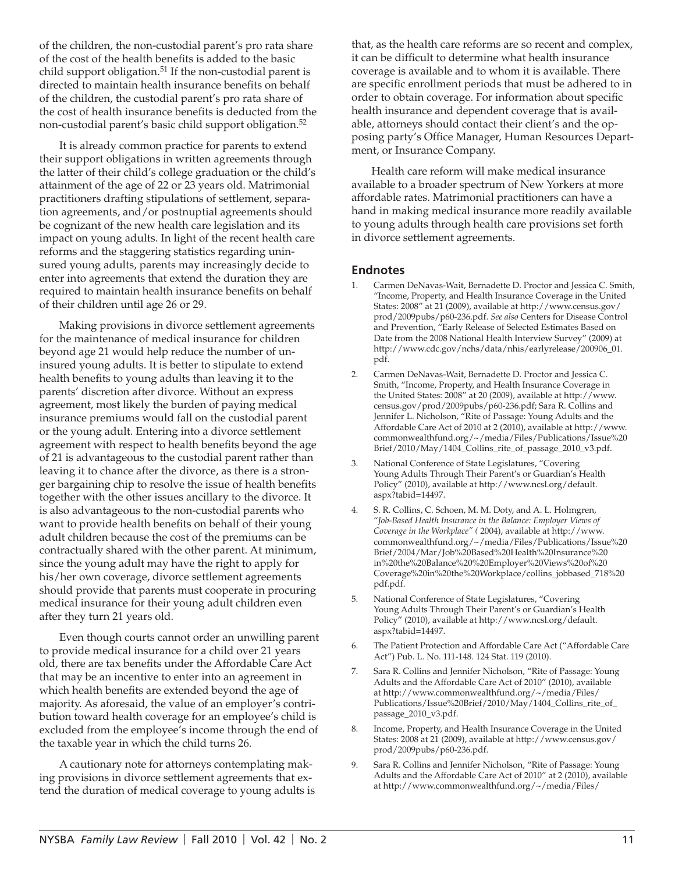of the children, the non-custodial parent's pro rata share of the cost of the health benefits is added to the basic child support obligation.<sup>51</sup> If the non-custodial parent is directed to maintain health insurance benefits on behalf of the children, the custodial parent's pro rata share of the cost of health insurance benefits is deducted from the non-custodial parent's basic child support obligation.<sup>52</sup>

It is already common practice for parents to extend their support obligations in written agreements through the latter of their child's college graduation or the child's attainment of the age of 22 or 23 years old. Matrimonial practitioners drafting stipulations of settlement, separation agreements, and/or postnuptial agreements should be cognizant of the new health care legislation and its impact on young adults. In light of the recent health care reforms and the staggering statistics regarding uninsured young adults, parents may increasingly decide to enter into agreements that extend the duration they are required to maintain health insurance benefits on behalf of their children until age 26 or 29.

Making provisions in divorce settlement agreements for the maintenance of medical insurance for children beyond age 21 would help reduce the number of uninsured young adults. It is better to stipulate to extend health benefits to young adults than leaving it to the parents' discretion after divorce. Without an express agreement, most likely the burden of paying medical insurance premiums would fall on the custodial parent or the young adult. Entering into a divorce settlement agreement with respect to health benefits beyond the age of 21 is advantageous to the custodial parent rather than leaving it to chance after the divorce, as there is a stronger bargaining chip to resolve the issue of health benefits together with the other issues ancillary to the divorce. It is also advantageous to the non-custodial parents who want to provide health benefits on behalf of their young adult children because the cost of the premiums can be contractually shared with the other parent. At minimum, since the young adult may have the right to apply for his/her own coverage, divorce settlement agreements should provide that parents must cooperate in procuring medical insurance for their young adult children even after they turn 21 years old.

Even though courts cannot order an unwilling parent to provide medical insurance for a child over 21 years old, there are tax benefits under the Affordable Care Act that may be an incentive to enter into an agreement in which health benefits are extended beyond the age of majority. As aforesaid, the value of an employer's contribution toward health coverage for an employee's child is excluded from the employee's income through the end of the taxable year in which the child turns 26.

A cautionary note for attorneys contemplating making provisions in divorce settlement agreements that extend the duration of medical coverage to young adults is that, as the health care reforms are so recent and complex, it can be difficult to determine what health insurance coverage is available and to whom it is available. There are specific enrollment periods that must be adhered to in order to obtain coverage. For information about specific health insurance and dependent coverage that is available, attorneys should contact their client's and the opposing party's Office Manager, Human Resources Department, or Insurance Company.

Health care reform will make medical insurance available to a broader spectrum of New Yorkers at more affordable rates. Matrimonial practitioners can have a hand in making medical insurance more readily available to young adults through health care provisions set forth in divorce settlement agreements.

#### **Endnotes**

- 1. Carmen DeNavas-Wait, Bernadette D. Proctor and Jessica C. Smith, "Income, Property, and Health Insurance Coverage in the United States: 2008" at 21 (2009), available at http://www.census.gov/ prod/2009pubs/p60-236.pdf. *See also* Centers for Disease Control and Prevention, "Early Release of Selected Estimates Based on Date from the 2008 National Health Interview Survey" (2009) at http://www.cdc.gov/nchs/data/nhis/earlyrelease/200906\_01. pdf.
- 2. Carmen DeNavas-Wait, Bernadette D. Proctor and Jessica C. Smith, "Income, Property, and Health Insurance Coverage in the United States: 2008" at 20 (2009), available at http://www. census.gov/prod/2009pubs/p60-236.pdf; Sara R. Collins and Jennifer L. Nicholson, "Rite of Passage: Young Adults and the Affordable Care Act of 2010 at 2 (2010), available at http://www. commonwealthfund.org/~/media/Files/Publications/Issue%20 Brief/2010/May/1404\_Collins\_rite\_of\_passage\_2010\_v3.pdf.
- 3. National Conference of State Legislatures, "Covering Young Adults Through Their Parent's or Guardian's Health Policy" (2010), available at http://www.ncsl.org/default. aspx?tabid=14497.
- 4. S. R. Collins, C. Schoen, M. M. Doty, and A. L. Holmgren, "*Job-Based Health Insurance in the Balance: Employer Views of Coverage in the Workplace" (* 2004), available at http://www. commonwealthfund.org/~/media/Files/Publications/Issue%20 Brief/2004/Mar/Job%20Based%20Health%20Insurance%20 in%20the%20Balance%20%20Employer%20Views%20of%20 Coverage%20in%20the%20Workplace/collins\_jobbased\_718%20 pdf.pdf.
- 5. National Conference of State Legislatures, "Covering Young Adults Through Their Parent's or Guardian's Health Policy" (2010), available at http://www.ncsl.org/default. aspx?tabid=14497.
- 6. The Patient Protection and Affordable Care Act ("Affordable Care Act") Pub. L. No. 111-148. 124 Stat. 119 (2010).
- 7. Sara R. Collins and Jennifer Nicholson, "Rite of Passage: Young Adults and the Affordable Care Act of 2010" (2010), available at http://www.commonwealthfund.org/~/media/Files/ Publications/Issue%20Brief/2010/May/1404\_Collins\_rite\_of\_ passage\_2010\_v3.pdf.
- 8. Income, Property, and Health Insurance Coverage in the United States: 2008 at 21 (2009), available at http://www.census.gov/ prod/2009pubs/p60-236.pdf.
- 9. Sara R. Collins and Jennifer Nicholson, "Rite of Passage: Young Adults and the Affordable Care Act of 2010" at 2 (2010), available at http://www.commonwealthfund.org/~/media/Files/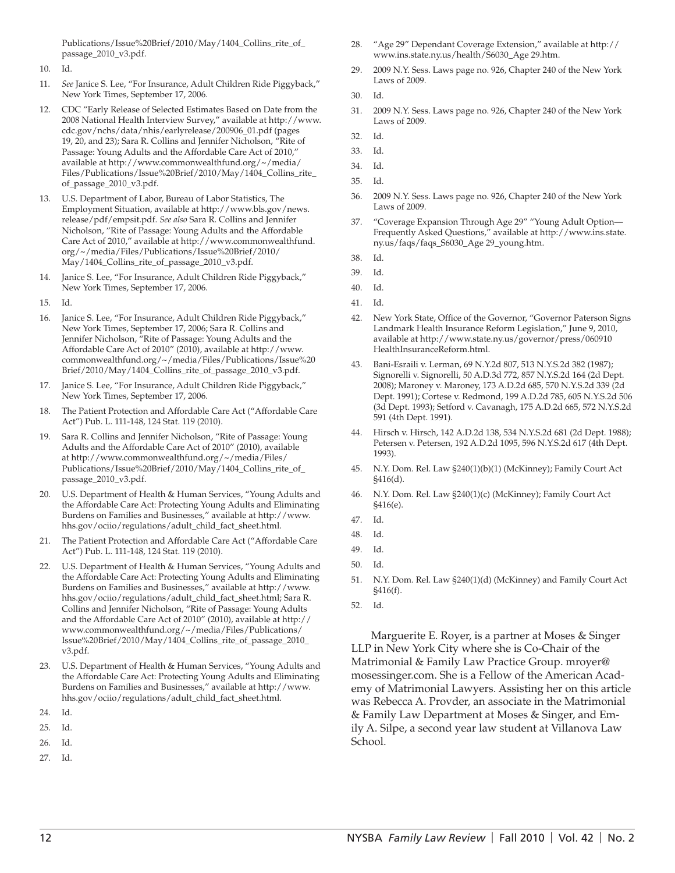Publications/Issue%20Brief/2010/May/1404\_Collins\_rite\_of\_ passage\_2010\_v3.pdf.

- 10. Id.
- 11. *See* Janice S. Lee, "For Insurance, Adult Children Ride Piggyback," New York Times, September 17, 2006.
- 12. CDC "Early Release of Selected Estimates Based on Date from the 2008 National Health Interview Survey," available at http://www. cdc.gov/nchs/data/nhis/earlyrelease/200906\_01.pdf (pages 19, 20, and 23); Sara R. Collins and Jennifer Nicholson, "Rite of Passage: Young Adults and the Affordable Care Act of 2010," available at http://www.commonwealthfund.org/~/media/ Files/Publications/Issue%20Brief/2010/May/1404\_Collins\_rite\_ of\_passage\_2010\_v3.pdf.
- 13. U.S. Department of Labor, Bureau of Labor Statistics, The Employment Situation, available at http://www.bls.gov/news. release/pdf/empsit.pdf. *See also* Sara R. Collins and Jennifer Nicholson, "Rite of Passage: Young Adults and the Affordable Care Act of 2010," available at http://www.commonwealthfund. org/~/media/Files/Publications/Issue%20Brief/2010/ May/1404\_Collins\_rite\_of\_passage\_2010\_v3.pdf.
- 14. Janice S. Lee, "For Insurance, Adult Children Ride Piggyback," New York Times, September 17, 2006.
- 15. Id.
- 16. Janice S. Lee, "For Insurance, Adult Children Ride Piggyback," New York Times, September 17, 2006; Sara R. Collins and Jennifer Nicholson, "Rite of Passage: Young Adults and the Affordable Care Act of 2010" (2010), available at http://www. commonwealthfund.org/~/media/Files/Publications/Issue%20 Brief/2010/May/1404\_Collins\_rite\_of\_passage\_2010\_v3.pdf.
- 17. Janice S. Lee, "For Insurance, Adult Children Ride Piggyback," New York Times, September 17, 2006.
- 18. The Patient Protection and Affordable Care Act ("Affordable Care Act") Pub. L. 111-148, 124 Stat. 119 (2010).
- 19. Sara R. Collins and Jennifer Nicholson, "Rite of Passage: Young Adults and the Affordable Care Act of 2010" (2010), available at http://www.commonwealthfund.org/~/media/Files/ Publications/Issue%20Brief/2010/May/1404\_Collins\_rite\_of\_ passage\_2010\_v3.pdf.
- 20. U.S. Department of Health & Human Services, "Young Adults and the Affordable Care Act: Protecting Young Adults and Eliminating Burdens on Families and Businesses," available at http://www. hhs.gov/ociio/regulations/adult\_child\_fact\_sheet.html.
- 21. The Patient Protection and Affordable Care Act ("Affordable Care Act") Pub. L. 111-148, 124 Stat. 119 (2010).
- 22. U.S. Department of Health & Human Services, "Young Adults and the Affordable Care Act: Protecting Young Adults and Eliminating Burdens on Families and Businesses," available at http://www. hhs.gov/ociio/regulations/adult\_child\_fact\_sheet.html; Sara R. Collins and Jennifer Nicholson, "Rite of Passage: Young Adults and the Affordable Care Act of 2010" (2010), available at http:// www.commonwealthfund.org/~/media/Files/Publications/ Issue%20Brief/2010/May/1404\_Collins\_rite\_of\_passage\_2010\_ v3.pdf.
- 23. U.S. Department of Health & Human Services, "Young Adults and the Affordable Care Act: Protecting Young Adults and Eliminating Burdens on Families and Businesses," available at http://www. hhs.gov/ociio/regulations/adult\_child\_fact\_sheet.html.
- 24. Id.
- 25. Id.
- 26. Id.
- 27. Id.
- 28. "Age 29" Dependant Coverage Extension," available at http:// www.ins.state.ny.us/health/S6030\_Age 29.htm.
- 29. 2009 N.Y. Sess. Laws page no. 926, Chapter 240 of the New York Laws of 2009.
- 30. Id.
- 31. 2009 N.Y. Sess. Laws page no. 926, Chapter 240 of the New York Laws of 2009.
- 32. Id.
- 33. Id.
- 34. Id.
- 35. Id.
- 36. 2009 N.Y. Sess. Laws page no. 926, Chapter 240 of the New York Laws of 2009.
- 37. "Coverage Expansion Through Age 29" "Young Adult Option— Frequently Asked Questions," available at http://www.ins.state. ny.us/faqs/faqs\_S6030\_Age 29\_young.htm.
- 38. Id.
- 39. Id.
- 40. Id.
- 41. Id.
- 42. New York State, Office of the Governor, "Governor Paterson Signs Landmark Health Insurance Reform Legislation," June 9, 2010, available at http://www.state.ny.us/governor/press/060910 HealthInsuranceReform.html.
- 43. Bani-Esraili v. Lerman, 69 N.Y.2d 807, 513 N.Y.S.2d 382 (1987); Signorelli v. Signorelli, 50 A.D.3d 772, 857 N.Y.S.2d 164 (2d Dept. 2008); Maroney v. Maroney, 173 A.D.2d 685, 570 N.Y.S.2d 339 (2d Dept. 1991); Cortese v. Redmond, 199 A.D.2d 785, 605 N.Y.S.2d 506 (3d Dept. 1993); Setford v. Cavanagh, 175 A.D.2d 665, 572 N.Y.S.2d 591 (4th Dept. 1991).
- 44. Hirsch v. Hirsch, 142 A.D.2d 138, 534 N.Y.S.2d 681 (2d Dept. 1988); Petersen v. Petersen, 192 A.D.2d 1095, 596 N.Y.S.2d 617 (4th Dept. 1993).
- 45. N.Y. Dom. Rel. Law §240(1)(b)(1) (McKinney); Family Court Act §416(d).
- 46. N.Y. Dom. Rel. Law §240(1)(c) (McKinney); Family Court Act §416(e).
- 47. Id.
- 48. Id.
- 49. Id.
- 50. Id.
- 51. N.Y. Dom. Rel. Law §240(1)(d) (McKinney) and Family Court Act §416(f).
- 52. Id.

Marguerite E. Royer, is a partner at Moses & Singer LLP in New York City where she is Co-Chair of the Matrimonial & Family Law Practice Group. mroyer@ mosessinger.com. She is a Fellow of the American Academy of Matrimonial Lawyers. Assisting her on this article was Rebecca A. Provder, an associate in the Matrimonial & Family Law Department at Moses & Singer, and Emily A. Silpe, a second year law student at Villanova Law School.